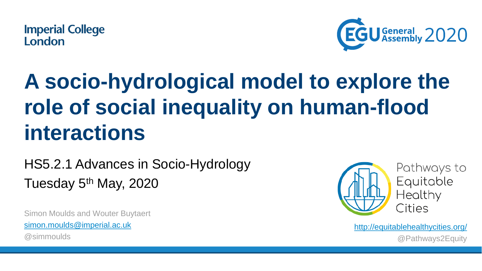

## **A socio-hydrological model to explore the role of social inequality on human-flood interactions**

### HS5.2.1 Advances in Socio-Hydrology Tuesday 5<sup>th</sup> May, 2020

Simon Moulds and Wouter Buytaert [simon.moulds@imperial.ac.uk](mailto:simon.moulds@imperial.ac.uk) @simmoulds



Pathways to Equitable Healthy Cities

<http://equitablehealthycities.org/> @Pathways2Equity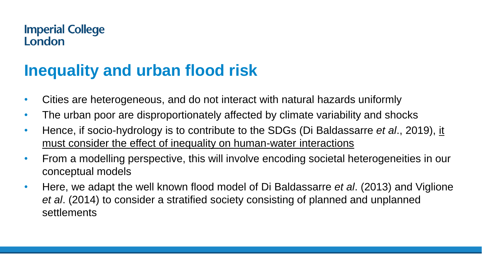### **Inequality and urban flood risk**

- Cities are heterogeneous, and do not interact with natural hazards uniformly
- The urban poor are disproportionately affected by climate variability and shocks
- Hence, if socio-hydrology is to contribute to the SDGs (Di Baldassarre *et al*., 2019), it must consider the effect of inequality on human-water interactions
- From a modelling perspective, this will involve encoding societal heterogeneities in our conceptual models
- Here, we adapt the well known flood model of Di Baldassarre *et al*. (2013) and Viglione *et al*. (2014) to consider a stratified society consisting of planned and unplanned settlements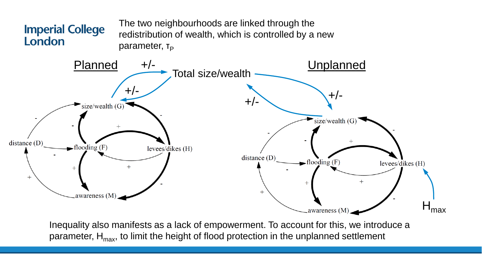

Inequality also manifests as a lack of empowerment. To account for this, we introduce a parameter,  $H_{\text{max}}$ , to limit the height of flood protection in the unplanned settlement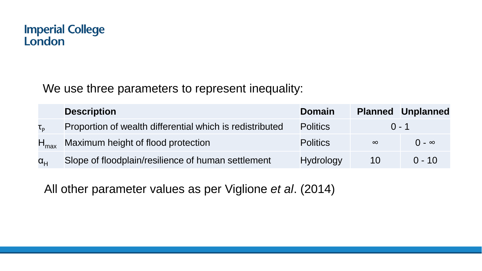We use three parameters to represent inequality:

|                           | <b>Description</b>                                       | <b>Domain</b>    |          | <b>Planned Unplanned</b> |
|---------------------------|----------------------------------------------------------|------------------|----------|--------------------------|
| $\mathsf{T}_{\mathsf{D}}$ | Proportion of wealth differential which is redistributed | <b>Politics</b>  |          | $0 - 1$                  |
| $H_{\sf max}$             | Maximum height of flood protection                       | <b>Politics</b>  | $\infty$ | $\Omega - \infty$        |
| $\alpha_{\text{L}}$       | Slope of floodplain/resilience of human settlement       | <b>Hydrology</b> | 10       | $0 - 10^{-7}$            |

All other parameter values as per Viglione *et al*. (2014)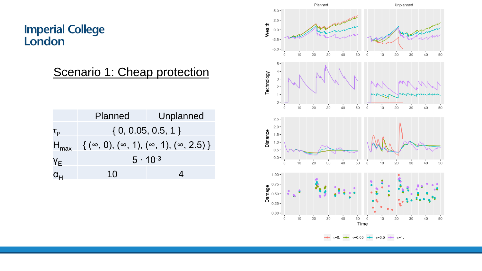Scenario 1: Cheap protection

|                  | Planned                                                     | Unplanned |  |
|------------------|-------------------------------------------------------------|-----------|--|
| τ <sub>ρ</sub>   | $\{0, 0.05, 0.5, 1\}$                                       |           |  |
| $H_{\text{max}}$ | $\{(\infty, 0), (\infty, 1), (\infty, 1), (\infty, 2.5)\}\$ |           |  |
| YE               | $5 \cdot 10^{-3}$                                           |           |  |
| $\alpha_H$       | 10                                                          |           |  |

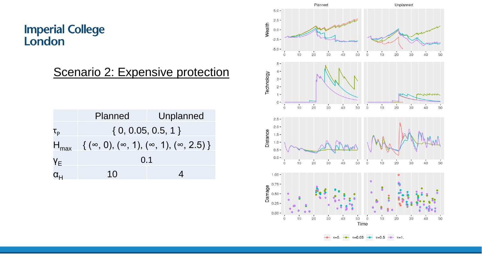Scenario 2: Expensive protection

|                                         | <b>Planned</b>                                              | Unplanned |  |
|-----------------------------------------|-------------------------------------------------------------|-----------|--|
| $\mathsf{T}_{\mathsf{p}}$               | $\{0, 0.05, 0.5, 1\}$                                       |           |  |
| $H_{\text{max}}$                        | $\{(\infty, 0), (\infty, 1), (\infty, 1), (\infty, 2.5)\}\$ |           |  |
| YE                                      | 0.1                                                         |           |  |
| $\alpha_{\scriptscriptstyle\mathsf{H}}$ | 10                                                          |           |  |

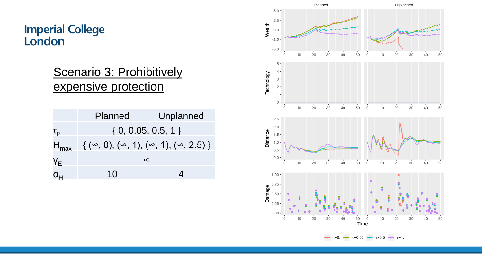#### Scenario 3: Prohibitively expensive protection

|                  | Planned                                                     | Unplanned |  |  |
|------------------|-------------------------------------------------------------|-----------|--|--|
| τ <sub>ρ</sub>   | $\{0, 0.05, 0.5, 1\}$                                       |           |  |  |
| $H_{\sf max}$    | $\{(\infty, 0), (\infty, 1), (\infty, 1), (\infty, 2.5)\}\$ |           |  |  |
| YE               | $\infty$                                                    |           |  |  |
| $\alpha_{\rm H}$ | 10                                                          |           |  |  |

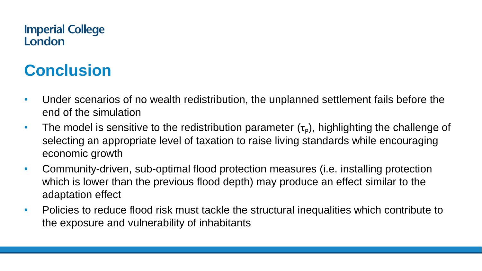### **Conclusion**

- Under scenarios of no wealth redistribution, the unplanned settlement fails before the end of the simulation
- The model is sensitive to the redistribution parameter  $(\tau_{p})$ , highlighting the challenge of selecting an appropriate level of taxation to raise living standards while encouraging economic growth
- Community-driven, sub-optimal flood protection measures (i.e. installing protection which is lower than the previous flood depth) may produce an effect similar to the adaptation effect
- Policies to reduce flood risk must tackle the structural inequalities which contribute to the exposure and vulnerability of inhabitants